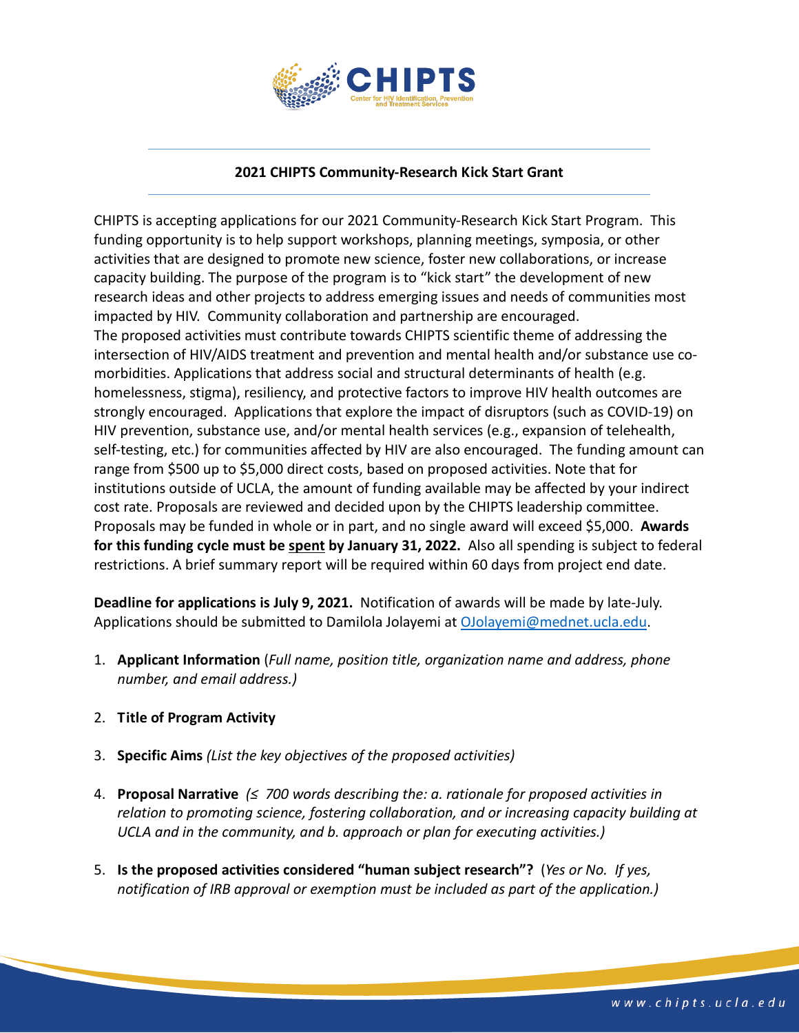

## **2021 CHIPTS Community-Research Kick Start Grant**

CHIPTS is accepting applications for our 2021 Community-Research Kick Start Program. This funding opportunity is to help support workshops, planning meetings, symposia, or other activities that are designed to promote new science, foster new collaborations, or increase capacity building. The purpose of the program is to "kick start" the development of new research ideas and other projects to address emerging issues and needs of communities most impacted by HIV. Community collaboration and partnership are encouraged. The proposed activities must contribute towards CHIPTS scientific theme of addressing the intersection of HIV/AIDS treatment and prevention and mental health and/or substance use comorbidities. Applications that address social and structural determinants of health (e.g. homelessness, stigma), resiliency, and protective factors to improve HIV health outcomes are strongly encouraged. Applications that explore the impact of disruptors (such as COVID-19) on HIV prevention, substance use, and/or mental health services (e.g., expansion of telehealth, self-testing, etc.) for communities affected by HIV are also encouraged. The funding amount can range from \$500 up to \$5,000 direct costs, based on proposed activities. Note that for institutions outside of UCLA, the amount of funding available may be affected by your indirect cost rate. Proposals are reviewed and decided upon by the CHIPTS leadership committee. Proposals may be funded in whole or in part, and no single award will exceed \$5,000. **Awards for this funding cycle must be spent by January 31, 2022.** Also all spending is subject to federal restrictions. A brief summary report will be required within 60 days from project end date.

**Deadline for applications is July 9, 2021.** Notification of awards will be made by late-July. Applications should be submitted to Damilola Jolayemi at [OJolayemi@mednet.ucla.edu.](mailto:OJolayemi@mednet.ucla.edu)

- 1. **Applicant Information** (*Full name, position title, organization name and address, phone number, and email address.)*
- 2. **Title of Program Activity**
- 3. **Specific Aims** *(List the key objectives of the proposed activities)*
- 4. **Proposal Narrative** *(≤ 700 words describing the: a. rationale for proposed activities in relation to promoting science, fostering collaboration, and or increasing capacity building at UCLA and in the community, and b. approach or plan for executing activities.)*
- 5. **Is the proposed activities considered "human subject research"?** (*Yes or No. If yes, notification of IRB approval or exemption must be included as part of the application.)*